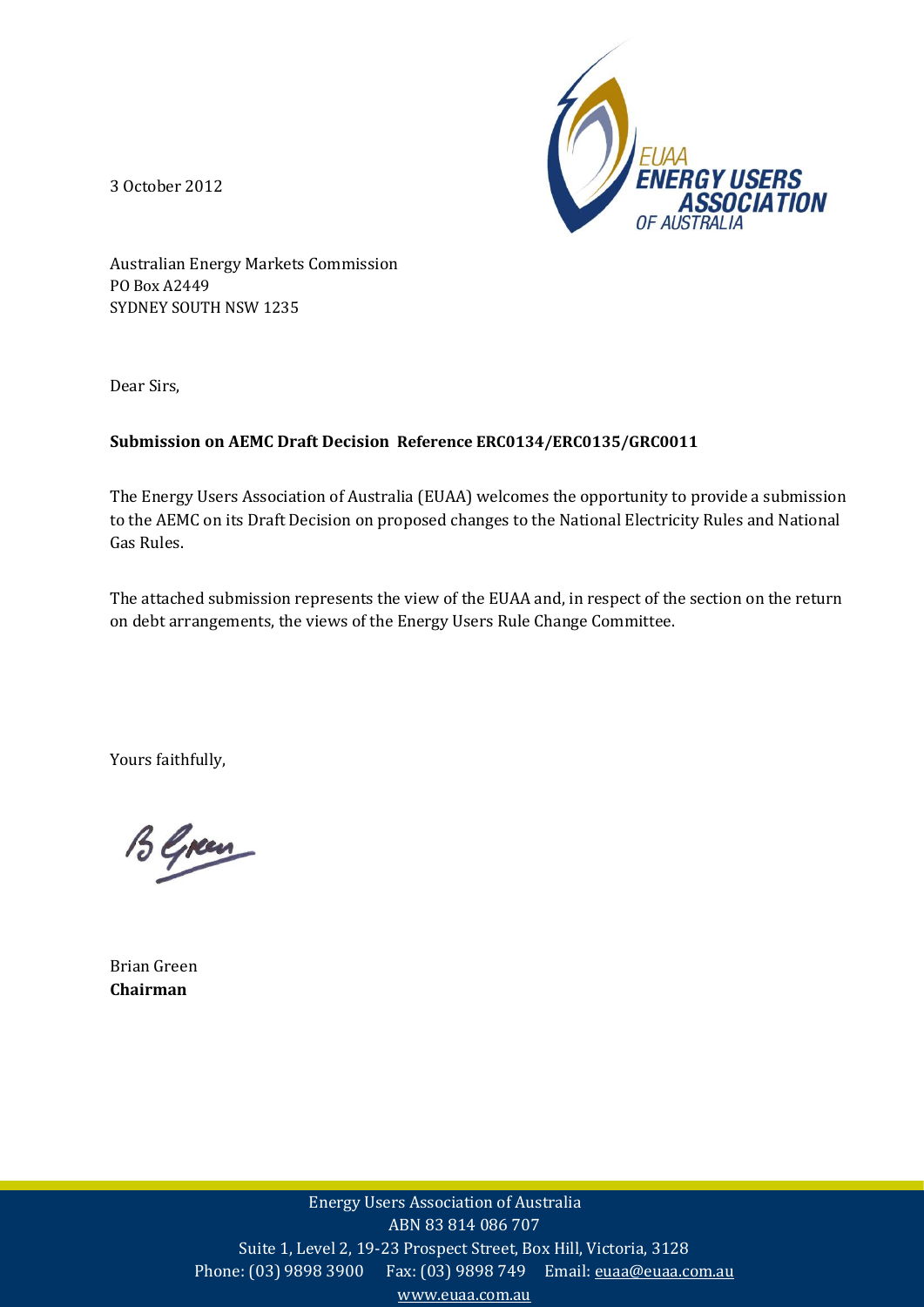3 October 2012



Australian Energy Markets Commission PO Box A2449 SYDNEY SOUTH NSW 1235

Dear Sirs,

### **Submission on AEMC Draft Decision Reference ERC0134/ERC0135/GRC0011**

The Energy Users Association of Australia (EUAA) welcomes the opportunity to provide a submission to the AEMC on its Draft Decision on proposed changes to the National Electricity Rules and National Gas Rules.

The attached submission represents the view of the EUAA and, in respect of the section on the return on debt arrangements, the views of the Energy Users Rule Change Committee.

Yours faithfully,

B Green

Brian Green **Chairman**

> Energy Users Association of Australia ABN 83 814 086 707 Suite 1, Level 2, 19-23 Prospect Street, Box Hill, Victoria, 3128 Phone: (03) 9898 3900 Fax: (03) 9898 749 Email: euaa@euaa.com.au www.euaa.com.au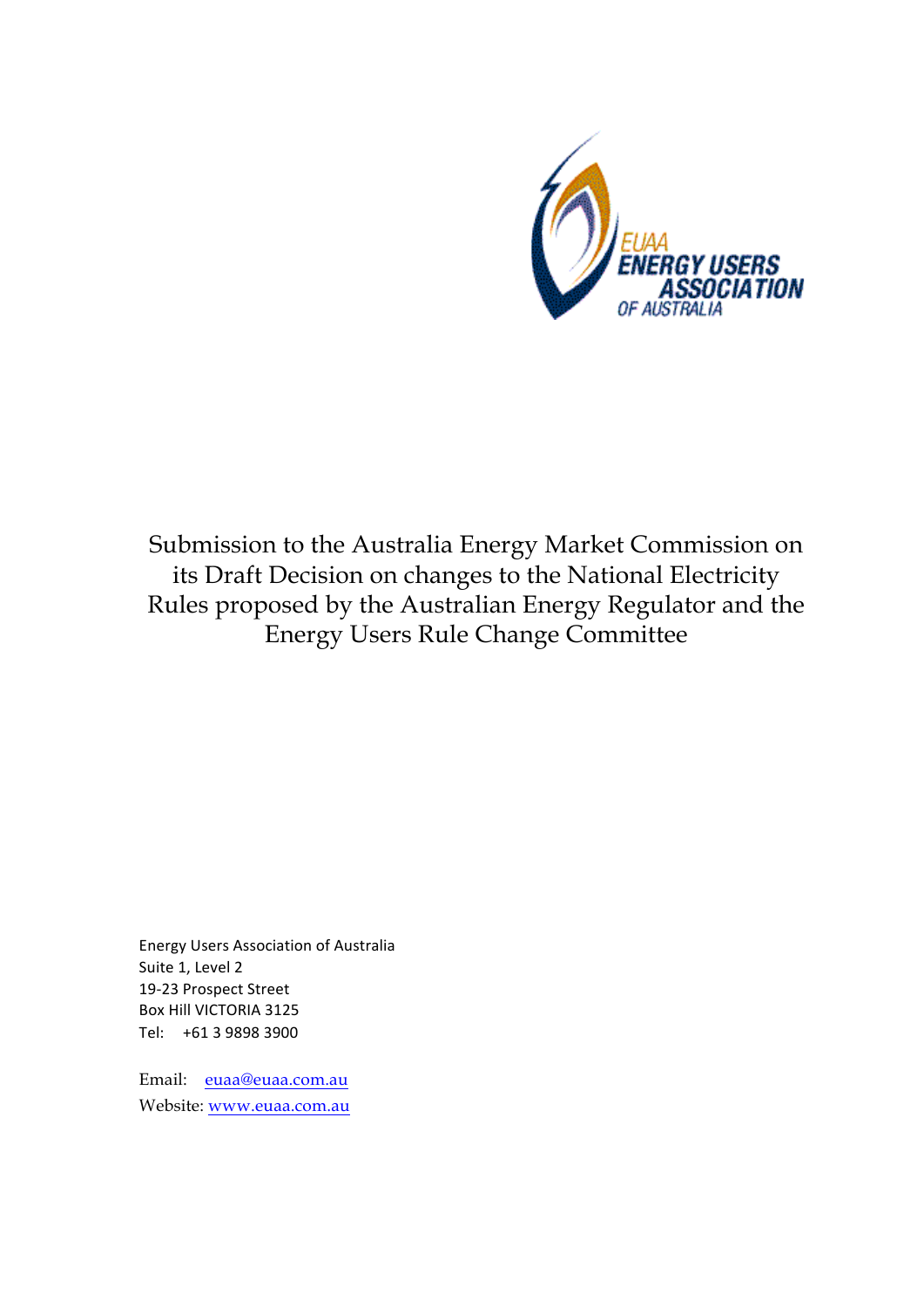

Submission to the Australia Energy Market Commission on its Draft Decision on changes to the National Electricity Rules proposed by the Australian Energy Regulator and the Energy Users Rule Change Committee

Energy Users Association of Australia Suite 1, Level 2 19-23 Prospect Street Box Hill VICTORIA 3125 Tel: +61 3 9898 3900

Email: euaa@euaa.com.au Website: www.euaa.com.au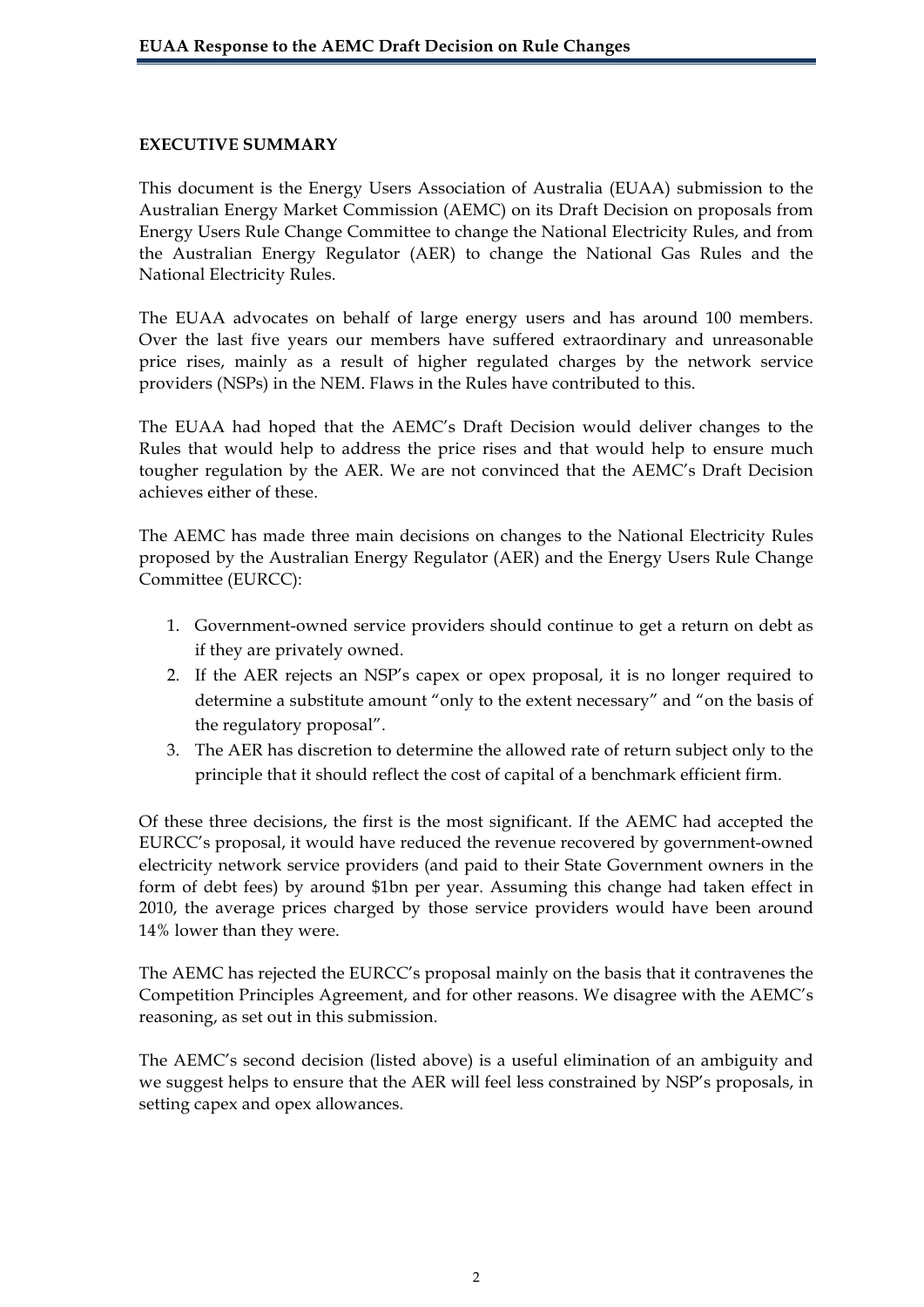### **EXECUTIVE SUMMARY**

This document is the Energy Users Association of Australia (EUAA) submission to the Australian Energy Market Commission (AEMC) on its Draft Decision on proposals from Energy Users Rule Change Committee to change the National Electricity Rules, and from the Australian Energy Regulator (AER) to change the National Gas Rules and the National Electricity Rules.

The EUAA advocates on behalf of large energy users and has around 100 members. Over the last five years our members have suffered extraordinary and unreasonable price rises, mainly as a result of higher regulated charges by the network service providers (NSPs) in the NEM. Flaws in the Rules have contributed to this.

The EUAA had hoped that the AEMC's Draft Decision would deliver changes to the Rules that would help to address the price rises and that would help to ensure much tougher regulation by the AER. We are not convinced that the AEMC's Draft Decision achieves either of these.

The AEMC has made three main decisions on changes to the National Electricity Rules proposed by the Australian Energy Regulator (AER) and the Energy Users Rule Change Committee (EURCC):

- 1. Government-owned service providers should continue to get a return on debt as if they are privately owned.
- 2. If the AER rejects an NSP's capex or opex proposal, it is no longer required to determine a substitute amount "only to the extent necessary" and "on the basis of the regulatory proposal".
- 3. The AER has discretion to determine the allowed rate of return subject only to the principle that it should reflect the cost of capital of a benchmark efficient firm.

Of these three decisions, the first is the most significant. If the AEMC had accepted the EURCC's proposal, it would have reduced the revenue recovered by government-owned electricity network service providers (and paid to their State Government owners in the form of debt fees) by around \$1bn per year. Assuming this change had taken effect in 2010, the average prices charged by those service providers would have been around 14% lower than they were.

The AEMC has rejected the EURCC's proposal mainly on the basis that it contravenes the Competition Principles Agreement, and for other reasons. We disagree with the AEMC's reasoning, as set out in this submission.

The AEMC's second decision (listed above) is a useful elimination of an ambiguity and we suggest helps to ensure that the AER will feel less constrained by NSP's proposals, in setting capex and opex allowances.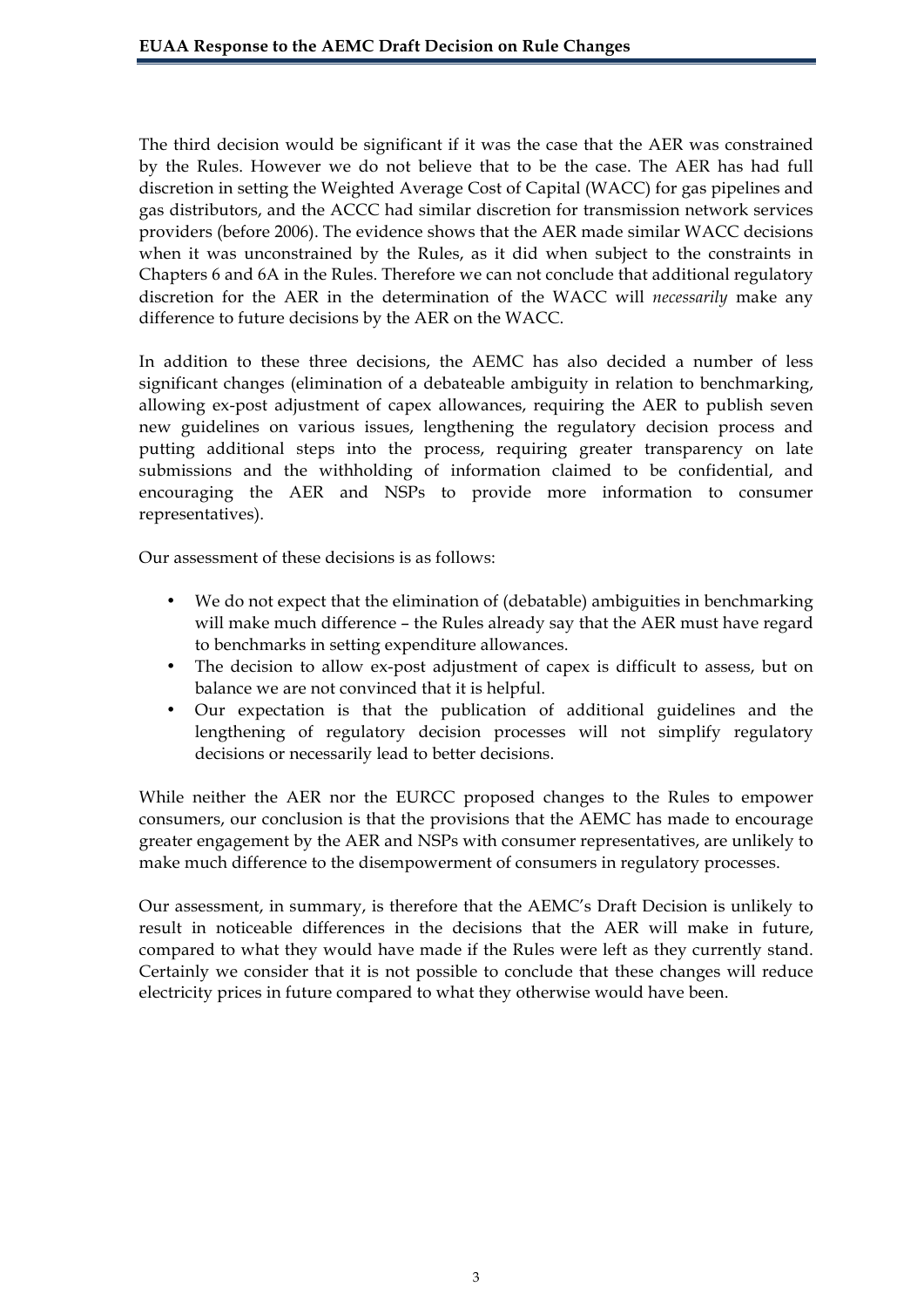The third decision would be significant if it was the case that the AER was constrained by the Rules. However we do not believe that to be the case. The AER has had full discretion in setting the Weighted Average Cost of Capital (WACC) for gas pipelines and gas distributors, and the ACCC had similar discretion for transmission network services providers (before 2006). The evidence shows that the AER made similar WACC decisions when it was unconstrained by the Rules, as it did when subject to the constraints in Chapters 6 and 6A in the Rules. Therefore we can not conclude that additional regulatory discretion for the AER in the determination of the WACC will *necessarily* make any difference to future decisions by the AER on the WACC.

In addition to these three decisions, the AEMC has also decided a number of less significant changes (elimination of a debateable ambiguity in relation to benchmarking, allowing ex-post adjustment of capex allowances, requiring the AER to publish seven new guidelines on various issues, lengthening the regulatory decision process and putting additional steps into the process, requiring greater transparency on late submissions and the withholding of information claimed to be confidential, and encouraging the AER and NSPs to provide more information to consumer representatives).

Our assessment of these decisions is as follows:

- We do not expect that the elimination of (debatable) ambiguities in benchmarking will make much difference – the Rules already say that the AER must have regard to benchmarks in setting expenditure allowances.
- The decision to allow ex-post adjustment of capex is difficult to assess, but on balance we are not convinced that it is helpful.
- Our expectation is that the publication of additional guidelines and the lengthening of regulatory decision processes will not simplify regulatory decisions or necessarily lead to better decisions.

While neither the AER nor the EURCC proposed changes to the Rules to empower consumers, our conclusion is that the provisions that the AEMC has made to encourage greater engagement by the AER and NSPs with consumer representatives, are unlikely to make much difference to the disempowerment of consumers in regulatory processes.

Our assessment, in summary, is therefore that the AEMC's Draft Decision is unlikely to result in noticeable differences in the decisions that the AER will make in future, compared to what they would have made if the Rules were left as they currently stand. Certainly we consider that it is not possible to conclude that these changes will reduce electricity prices in future compared to what they otherwise would have been.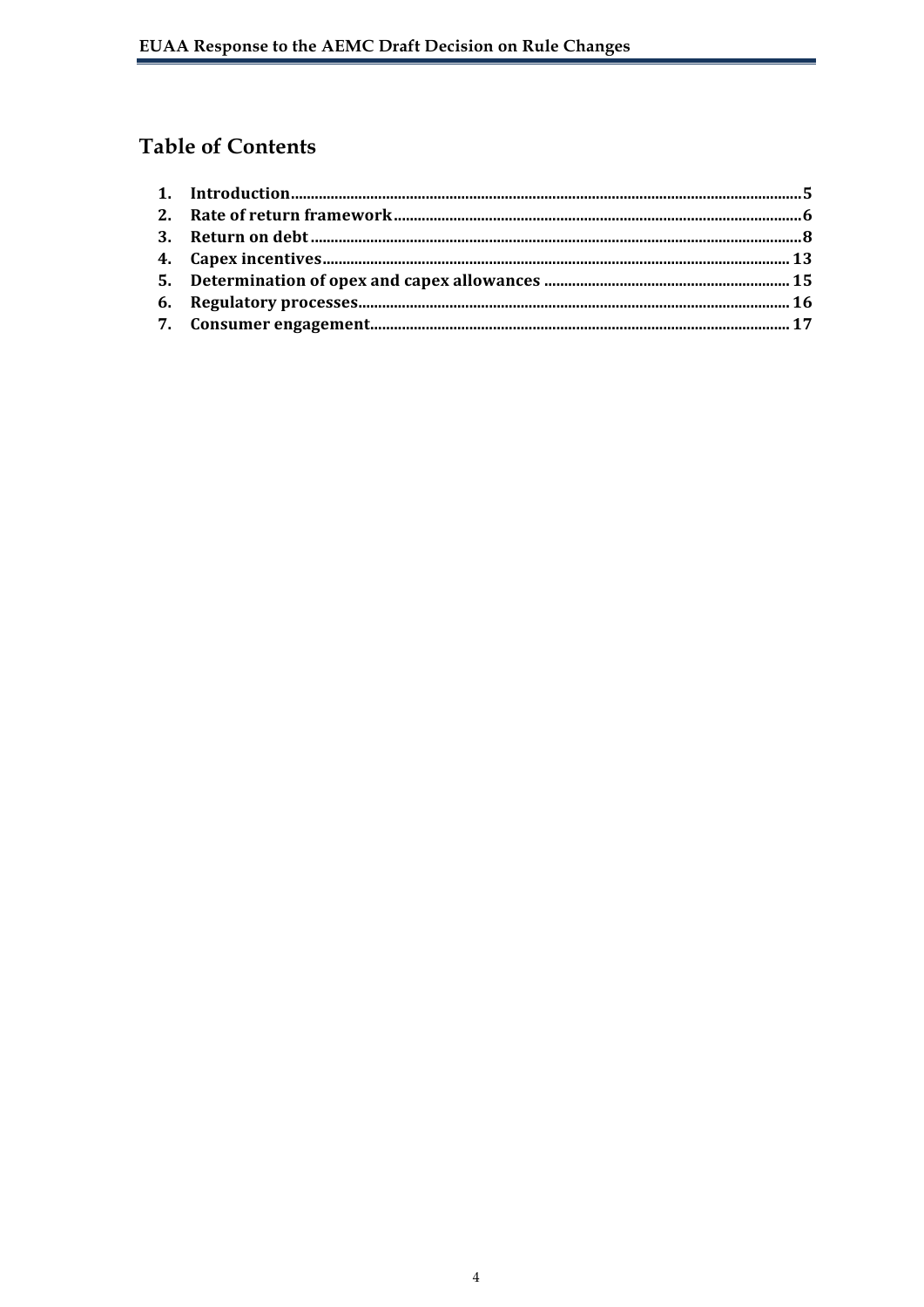# **Table of Contents**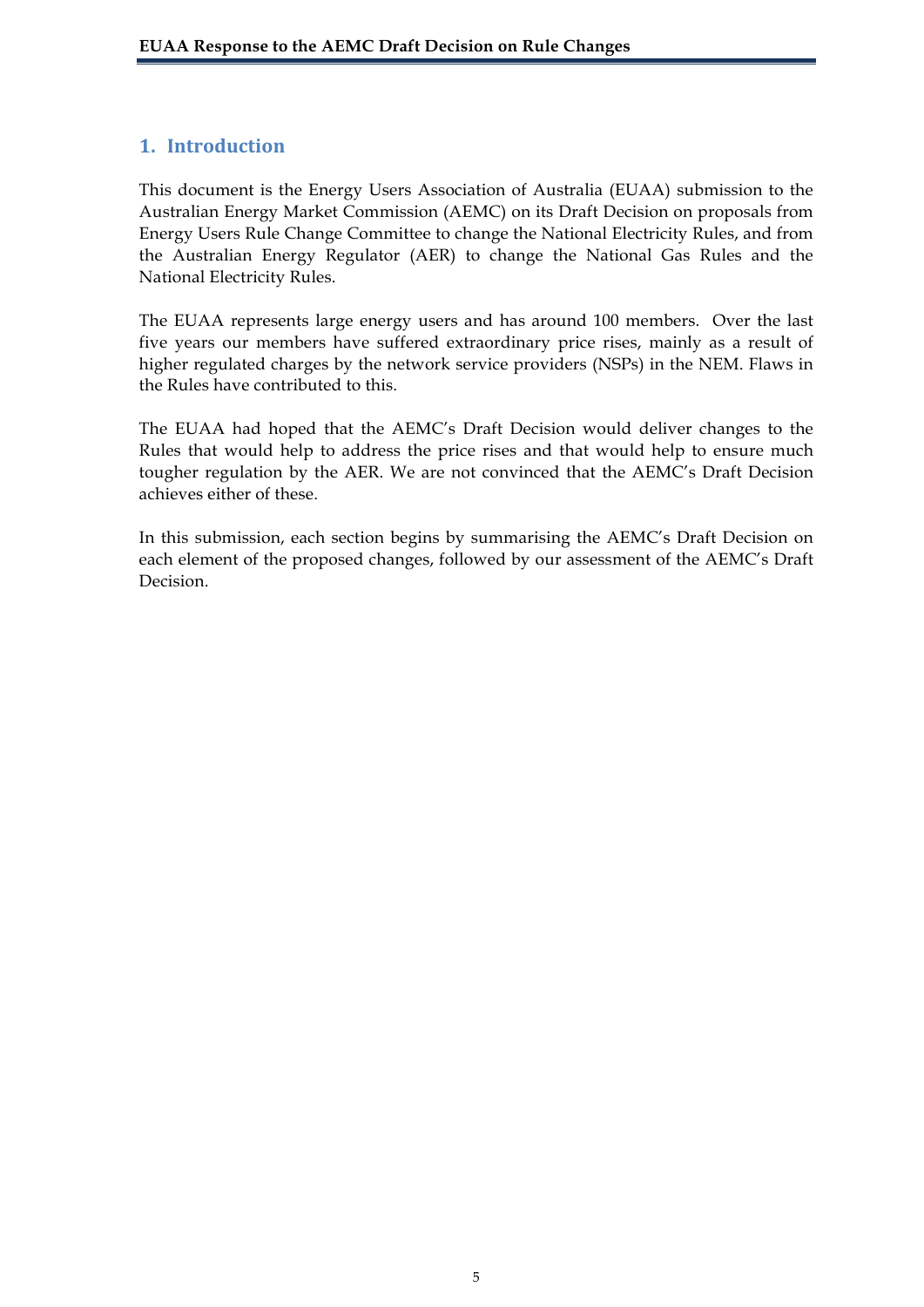## **1. Introduction**

This document is the Energy Users Association of Australia (EUAA) submission to the Australian Energy Market Commission (AEMC) on its Draft Decision on proposals from Energy Users Rule Change Committee to change the National Electricity Rules, and from the Australian Energy Regulator (AER) to change the National Gas Rules and the National Electricity Rules.

The EUAA represents large energy users and has around 100 members. Over the last five years our members have suffered extraordinary price rises, mainly as a result of higher regulated charges by the network service providers (NSPs) in the NEM. Flaws in the Rules have contributed to this.

The EUAA had hoped that the AEMC's Draft Decision would deliver changes to the Rules that would help to address the price rises and that would help to ensure much tougher regulation by the AER. We are not convinced that the AEMC's Draft Decision achieves either of these.

In this submission, each section begins by summarising the AEMC's Draft Decision on each element of the proposed changes, followed by our assessment of the AEMC's Draft Decision.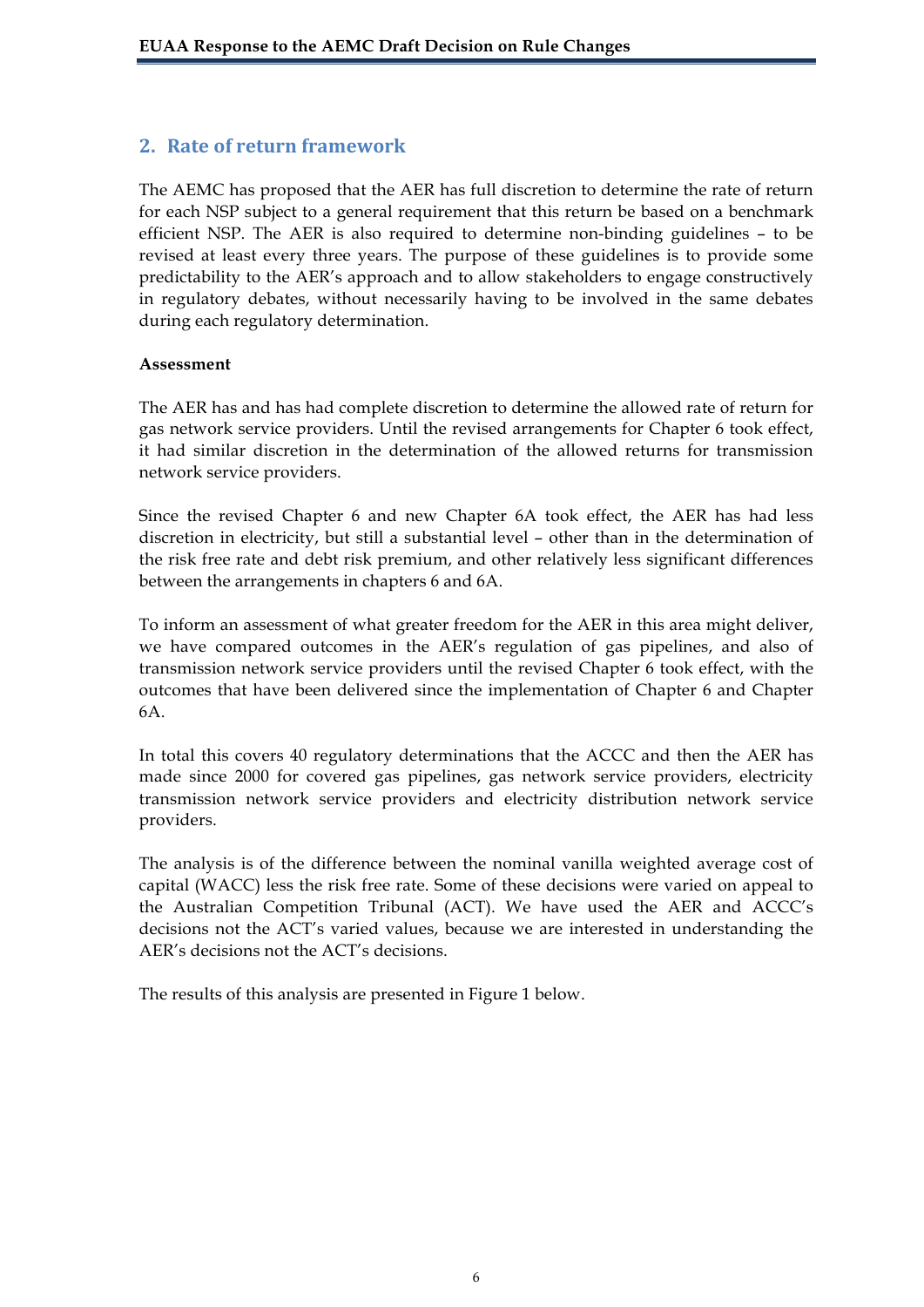## **2. Rate of return framework**

The AEMC has proposed that the AER has full discretion to determine the rate of return for each NSP subject to a general requirement that this return be based on a benchmark efficient NSP. The AER is also required to determine non-binding guidelines – to be revised at least every three years. The purpose of these guidelines is to provide some predictability to the AER's approach and to allow stakeholders to engage constructively in regulatory debates, without necessarily having to be involved in the same debates during each regulatory determination.

#### **Assessment**

The AER has and has had complete discretion to determine the allowed rate of return for gas network service providers. Until the revised arrangements for Chapter 6 took effect, it had similar discretion in the determination of the allowed returns for transmission network service providers.

Since the revised Chapter 6 and new Chapter 6A took effect, the AER has had less discretion in electricity, but still a substantial level – other than in the determination of the risk free rate and debt risk premium, and other relatively less significant differences between the arrangements in chapters 6 and 6A.

To inform an assessment of what greater freedom for the AER in this area might deliver, we have compared outcomes in the AER's regulation of gas pipelines, and also of transmission network service providers until the revised Chapter 6 took effect, with the outcomes that have been delivered since the implementation of Chapter 6 and Chapter 6A.

In total this covers 40 regulatory determinations that the ACCC and then the AER has made since 2000 for covered gas pipelines, gas network service providers, electricity transmission network service providers and electricity distribution network service providers.

The analysis is of the difference between the nominal vanilla weighted average cost of capital (WACC) less the risk free rate. Some of these decisions were varied on appeal to the Australian Competition Tribunal (ACT). We have used the AER and ACCC's decisions not the ACT's varied values, because we are interested in understanding the AER's decisions not the ACT's decisions.

The results of this analysis are presented in Figure 1 below.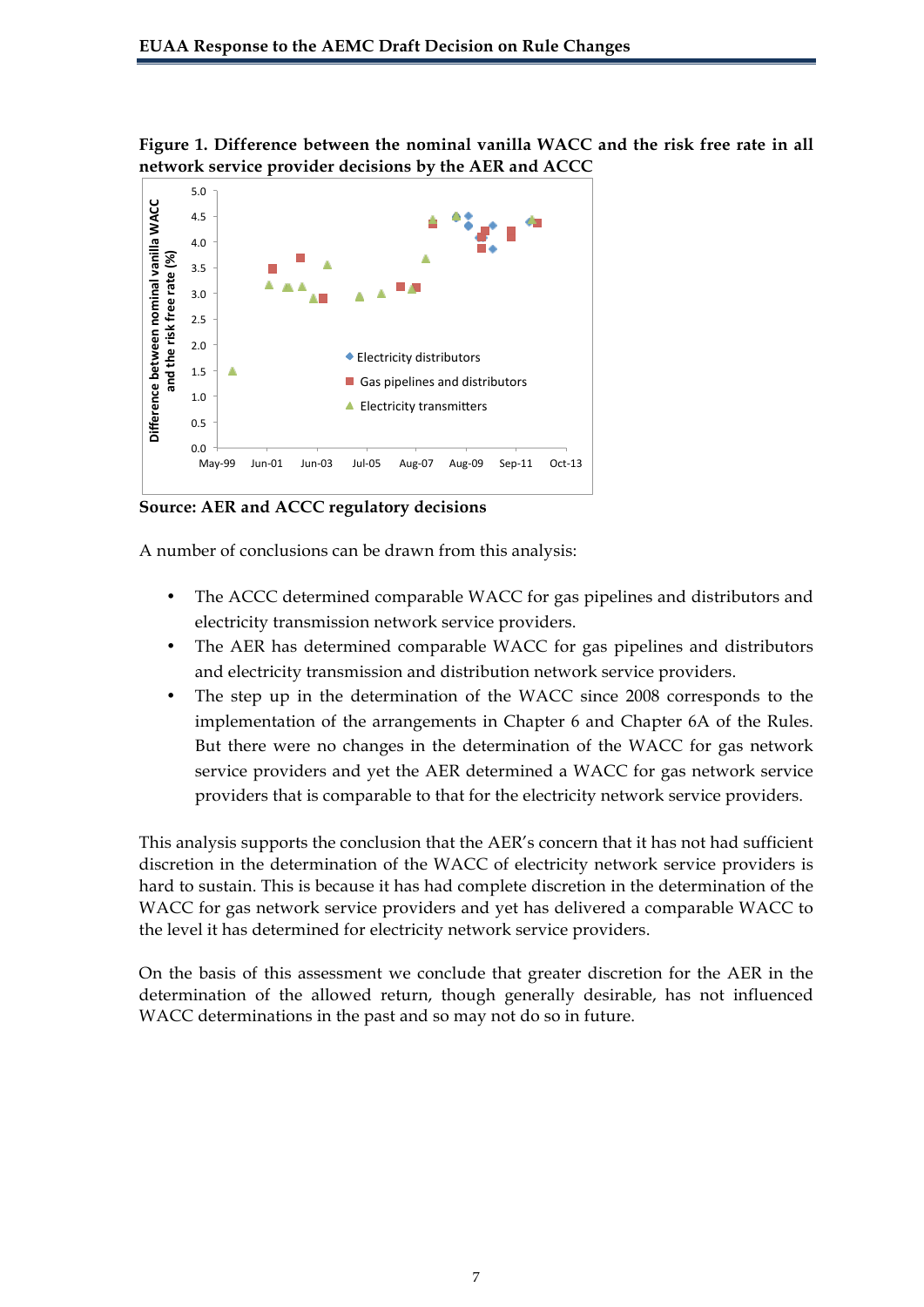**Figure 1. Difference between the nominal vanilla WACC and the risk free rate in all network service provider decisions by the AER and ACCC**



**Source: AER and ACCC regulatory decisions**

A number of conclusions can be drawn from this analysis:

- The ACCC determined comparable WACC for gas pipelines and distributors and electricity transmission network service providers.
- The AER has determined comparable WACC for gas pipelines and distributors and electricity transmission and distribution network service providers.
- The step up in the determination of the WACC since 2008 corresponds to the implementation of the arrangements in Chapter 6 and Chapter 6A of the Rules. But there were no changes in the determination of the WACC for gas network service providers and yet the AER determined a WACC for gas network service providers that is comparable to that for the electricity network service providers.

This analysis supports the conclusion that the AER's concern that it has not had sufficient discretion in the determination of the WACC of electricity network service providers is hard to sustain. This is because it has had complete discretion in the determination of the WACC for gas network service providers and yet has delivered a comparable WACC to the level it has determined for electricity network service providers.

On the basis of this assessment we conclude that greater discretion for the AER in the determination of the allowed return, though generally desirable, has not influenced WACC determinations in the past and so may not do so in future.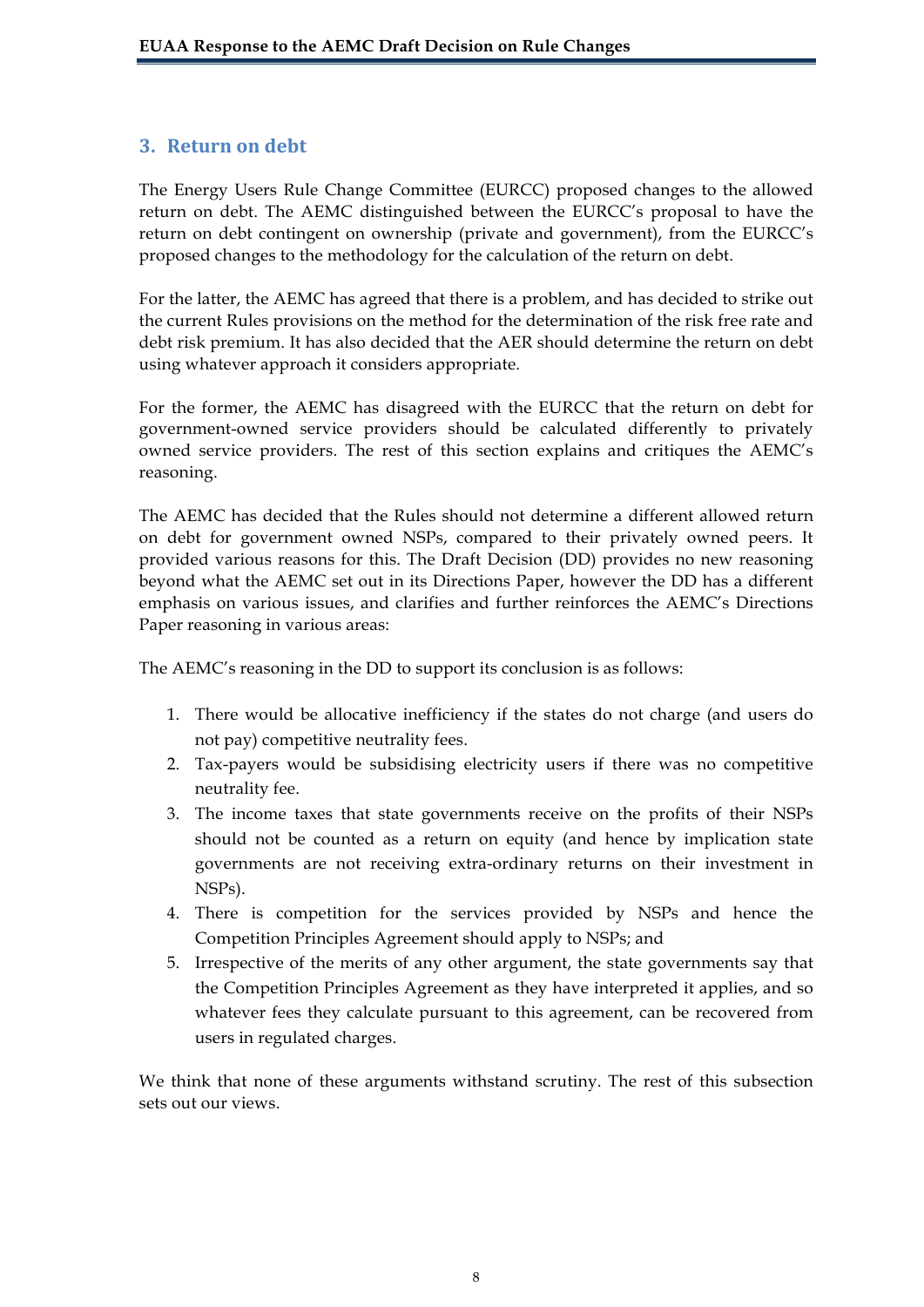## **3. Return,on,debt,**

The Energy Users Rule Change Committee (EURCC) proposed changes to the allowed return on debt. The AEMC distinguished between the EURCC's proposal to have the return on debt contingent on ownership (private and government), from the EURCC's proposed changes to the methodology for the calculation of the return on debt.

For the latter, the AEMC has agreed that there is a problem, and has decided to strike out the current Rules provisions on the method for the determination of the risk free rate and debt risk premium. It has also decided that the AER should determine the return on debt using whatever approach it considers appropriate.

For the former, the AEMC has disagreed with the EURCC that the return on debt for government-owned service providers should be calculated differently to privately owned service providers. The rest of this section explains and critiques the AEMC's reasoning.

The AEMC has decided that the Rules should not determine a different allowed return on debt for government owned NSPs, compared to their privately owned peers. It provided various reasons for this. The Draft Decision (DD) provides no new reasoning beyond what the AEMC set out in its Directions Paper, however the DD has a different emphasis on various issues, and clarifies and further reinforces the AEMC's Directions Paper reasoning in various areas:

The AEMC's reasoning in the DD to support its conclusion is as follows:

- 1. There would be allocative inefficiency if the states do not charge (and users do not pay) competitive neutrality fees.
- 2. Tax-payers would be subsidising electricity users if there was no competitive neutrality fee.
- 3. The income taxes that state governments receive on the profits of their NSPs should not be counted as a return on equity (and hence by implication state governments are not receiving extra-ordinary returns on their investment in NSPs).
- 4. There is competition for the services provided by NSPs and hence the Competition Principles Agreement should apply to NSPs; and
- 5. Irrespective of the merits of any other argument, the state governments say that the Competition Principles Agreement as they have interpreted it applies, and so whatever fees they calculate pursuant to this agreement, can be recovered from users in regulated charges.

We think that none of these arguments withstand scrutiny. The rest of this subsection sets out our views.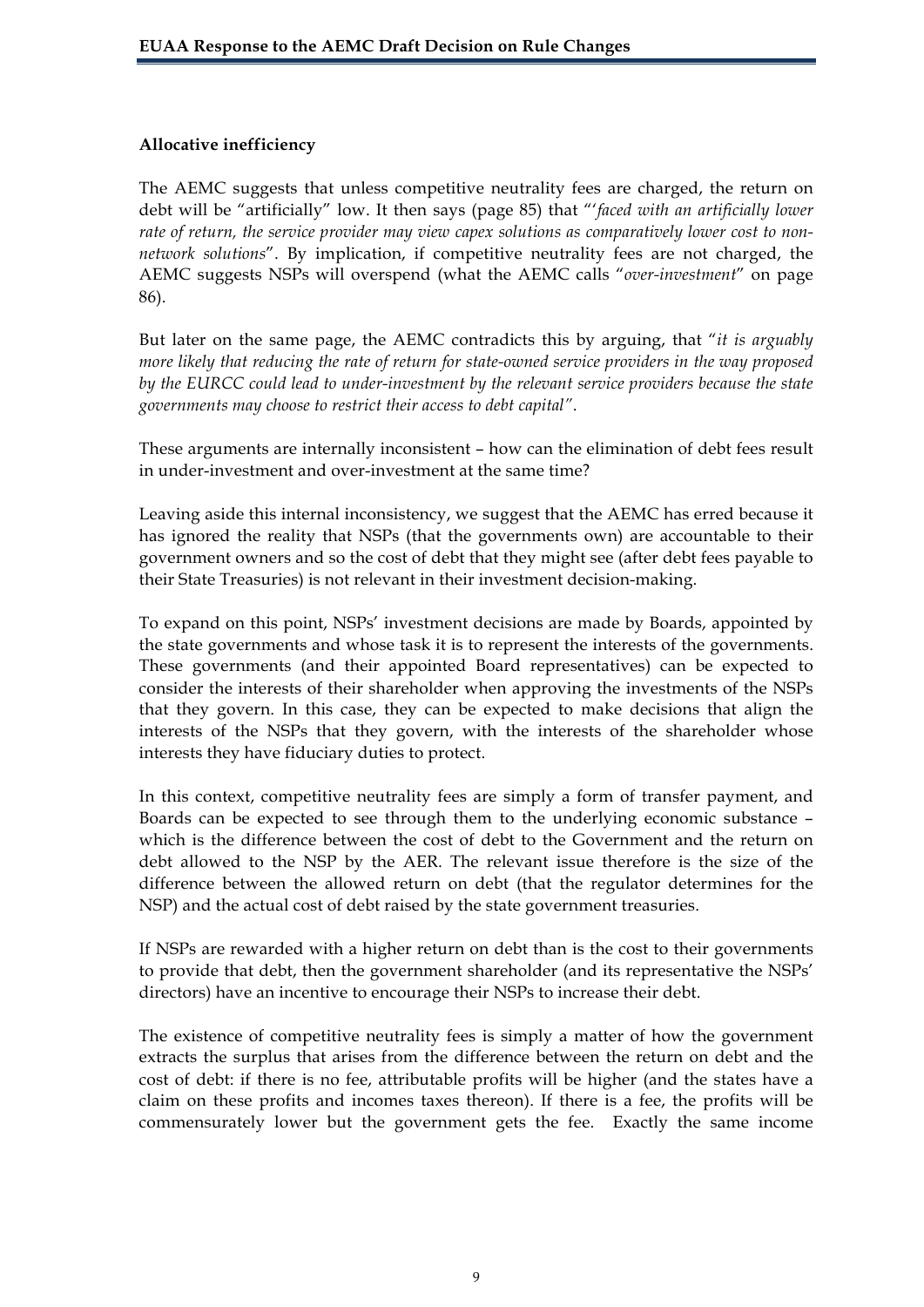### **Allocative inefficiency**

The AEMC suggests that unless competitive neutrality fees are charged, the return on debt will be "artificially" low. It then says (page 85) that "'*faced with an artificially lower rate of return, the service provider may view capex solutions as comparatively lower cost to nonnetwork solutions*". By implication, if competitive neutrality fees are not charged, the AEMC suggests NSPs will overspend (what the AEMC calls "*over-investment*" on page 86).

But later on the same page, the AEMC contradicts this by arguing, that "*it is arguably more likely that reducing the rate of return for state-owned service providers in the way proposed by the EURCC could lead to under-investment by the relevant service providers because the state governments may choose to restrict their access to debt capital"*.

These arguments are internally inconsistent – how can the elimination of debt fees result in under-investment and over-investment at the same time?

Leaving aside this internal inconsistency, we suggest that the AEMC has erred because it has ignored the reality that NSPs (that the governments own) are accountable to their government owners and so the cost of debt that they might see (after debt fees payable to their State Treasuries) is not relevant in their investment decision-making.

To expand on this point, NSPs' investment decisions are made by Boards, appointed by the state governments and whose task it is to represent the interests of the governments. These governments (and their appointed Board representatives) can be expected to consider the interests of their shareholder when approving the investments of the NSPs that they govern. In this case, they can be expected to make decisions that align the interests of the NSPs that they govern, with the interests of the shareholder whose interests they have fiduciary duties to protect.

In this context, competitive neutrality fees are simply a form of transfer payment, and Boards can be expected to see through them to the underlying economic substance – which is the difference between the cost of debt to the Government and the return on debt allowed to the NSP by the AER. The relevant issue therefore is the size of the difference between the allowed return on debt (that the regulator determines for the NSP) and the actual cost of debt raised by the state government treasuries.

If NSPs are rewarded with a higher return on debt than is the cost to their governments to provide that debt, then the government shareholder (and its representative the NSPs' directors) have an incentive to encourage their NSPs to increase their debt.

The existence of competitive neutrality fees is simply a matter of how the government extracts the surplus that arises from the difference between the return on debt and the cost of debt: if there is no fee, attributable profits will be higher (and the states have a claim on these profits and incomes taxes thereon). If there is a fee, the profits will be commensurately lower but the government gets the fee. Exactly the same income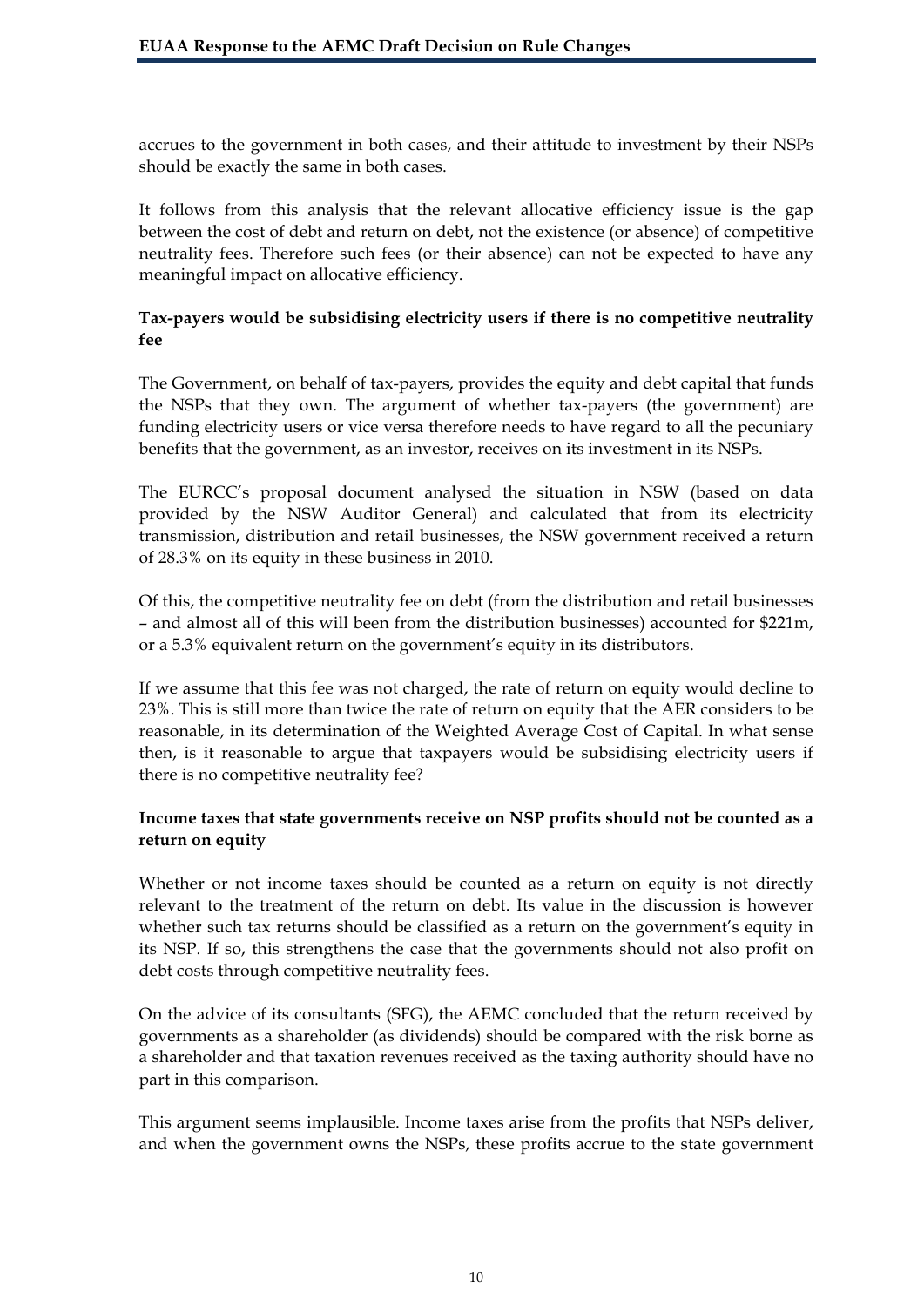accrues to the government in both cases, and their attitude to investment by their NSPs should be exactly the same in both cases.

It follows from this analysis that the relevant allocative efficiency issue is the gap between the cost of debt and return on debt, not the existence (or absence) of competitive neutrality fees. Therefore such fees (or their absence) can not be expected to have any meaningful impact on allocative efficiency.

## **Tax-payers would be subsidising electricity users if there is no competitive neutrality fee**

The Government, on behalf of tax-payers, provides the equity and debt capital that funds the NSPs that they own. The argument of whether tax-payers (the government) are funding electricity users or vice versa therefore needs to have regard to all the pecuniary benefits that the government, as an investor, receives on its investment in its NSPs.

The EURCC's proposal document analysed the situation in NSW (based on data provided by the NSW Auditor General) and calculated that from its electricity transmission, distribution and retail businesses, the NSW government received a return of 28.3% on its equity in these business in 2010.

Of this, the competitive neutrality fee on debt (from the distribution and retail businesses – and almost all of this will been from the distribution businesses) accounted for \$221m, or a 5.3% equivalent return on the government's equity in its distributors.

If we assume that this fee was not charged, the rate of return on equity would decline to 23%. This is still more than twice the rate of return on equity that the AER considers to be reasonable, in its determination of the Weighted Average Cost of Capital. In what sense then, is it reasonable to argue that taxpayers would be subsidising electricity users if there is no competitive neutrality fee?

## **Income taxes that state governments receive on NSP profits should not be counted as a return on equity**

Whether or not income taxes should be counted as a return on equity is not directly relevant to the treatment of the return on debt. Its value in the discussion is however whether such tax returns should be classified as a return on the government's equity in its NSP. If so, this strengthens the case that the governments should not also profit on debt costs through competitive neutrality fees.

On the advice of its consultants (SFG), the AEMC concluded that the return received by governments as a shareholder (as dividends) should be compared with the risk borne as a shareholder and that taxation revenues received as the taxing authority should have no part in this comparison.

This argument seems implausible. Income taxes arise from the profits that NSPs deliver, and when the government owns the NSPs, these profits accrue to the state government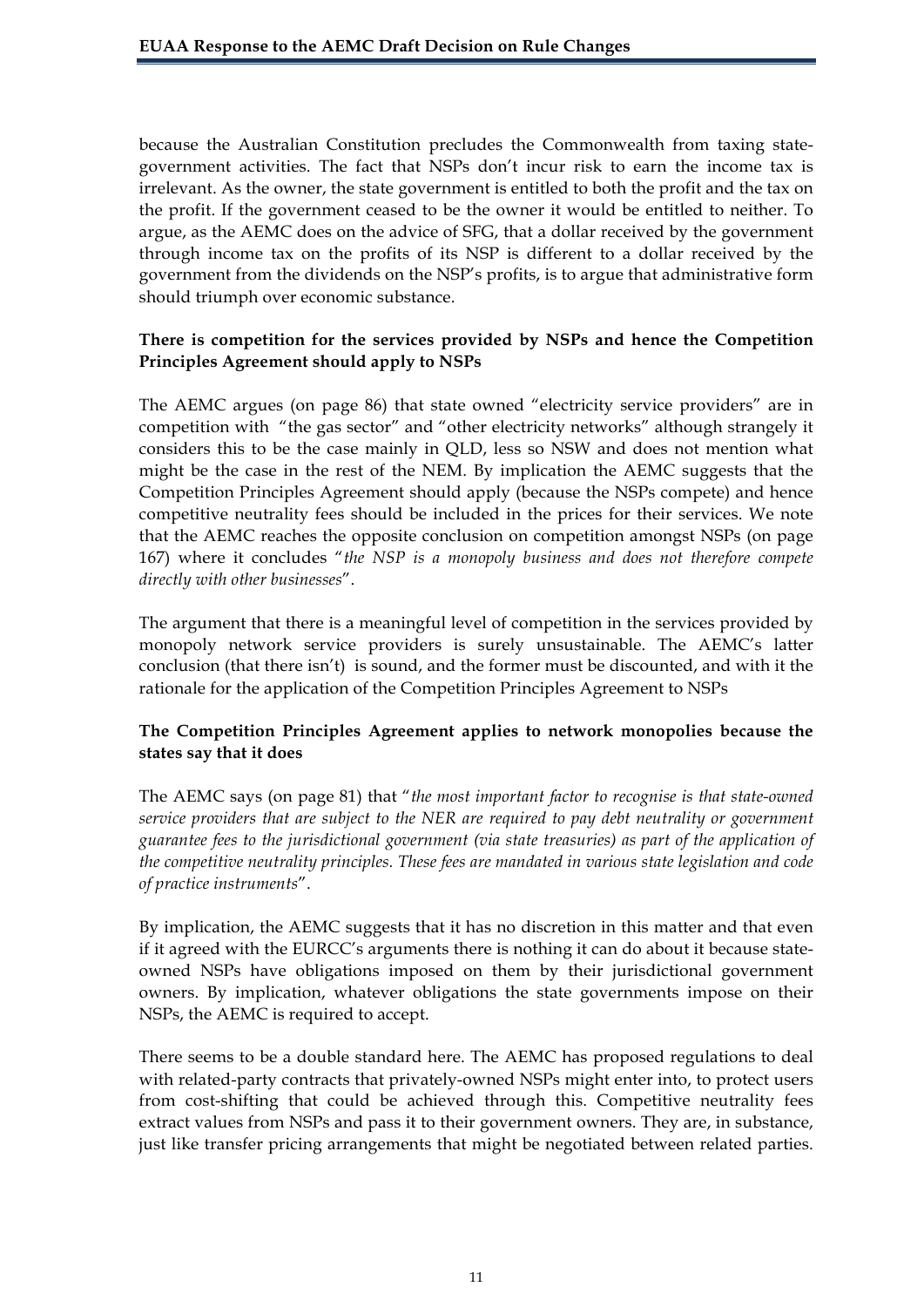because the Australian Constitution precludes the Commonwealth from taxing stategovernment activities. The fact that NSPs don't incur risk to earn the income tax is irrelevant. As the owner, the state government is entitled to both the profit and the tax on the profit. If the government ceased to be the owner it would be entitled to neither. To argue, as the AEMC does on the advice of SFG, that a dollar received by the government through income tax on the profits of its NSP is different to a dollar received by the government from the dividends on the NSP's profits, is to argue that administrative form should triumph over economic substance.

### **There is competition for the services provided by NSPs and hence the Competition Principles Agreement should apply to NSPs**

The AEMC argues (on page 86) that state owned "electricity service providers" are in competition with "the gas sector" and "other electricity networks" although strangely it considers this to be the case mainly in QLD, less so NSW and does not mention what might be the case in the rest of the NEM. By implication the AEMC suggests that the Competition Principles Agreement should apply (because the NSPs compete) and hence competitive neutrality fees should be included in the prices for their services. We note that the AEMC reaches the opposite conclusion on competition amongst NSPs (on page 167) where it concludes "*the NSP is a monopoly business and does not therefore compete directly with other businesses*".

The argument that there is a meaningful level of competition in the services provided by monopoly network service providers is surely unsustainable. The AEMC's latter conclusion (that there isn't) is sound, and the former must be discounted, and with it the rationale for the application of the Competition Principles Agreement to NSPs

## **The Competition Principles Agreement applies to network monopolies because the states say that it does**

The AEMC says (on page 81) that "*the most important factor to recognise is that state-owned service providers that are subject to the NER are required to pay debt neutrality or government guarantee fees to the jurisdictional government (via state treasuries) as part of the application of the competitive neutrality principles. These fees are mandated in various state legislation and code of practice instruments*".

By implication, the AEMC suggests that it has no discretion in this matter and that even if it agreed with the EURCC's arguments there is nothing it can do about it because stateowned NSPs have obligations imposed on them by their jurisdictional government owners. By implication, whatever obligations the state governments impose on their NSPs, the AEMC is required to accept.

There seems to be a double standard here. The AEMC has proposed regulations to deal with related-party contracts that privately-owned NSPs might enter into, to protect users from cost-shifting that could be achieved through this. Competitive neutrality fees extract values from NSPs and pass it to their government owners. They are, in substance, just like transfer pricing arrangements that might be negotiated between related parties.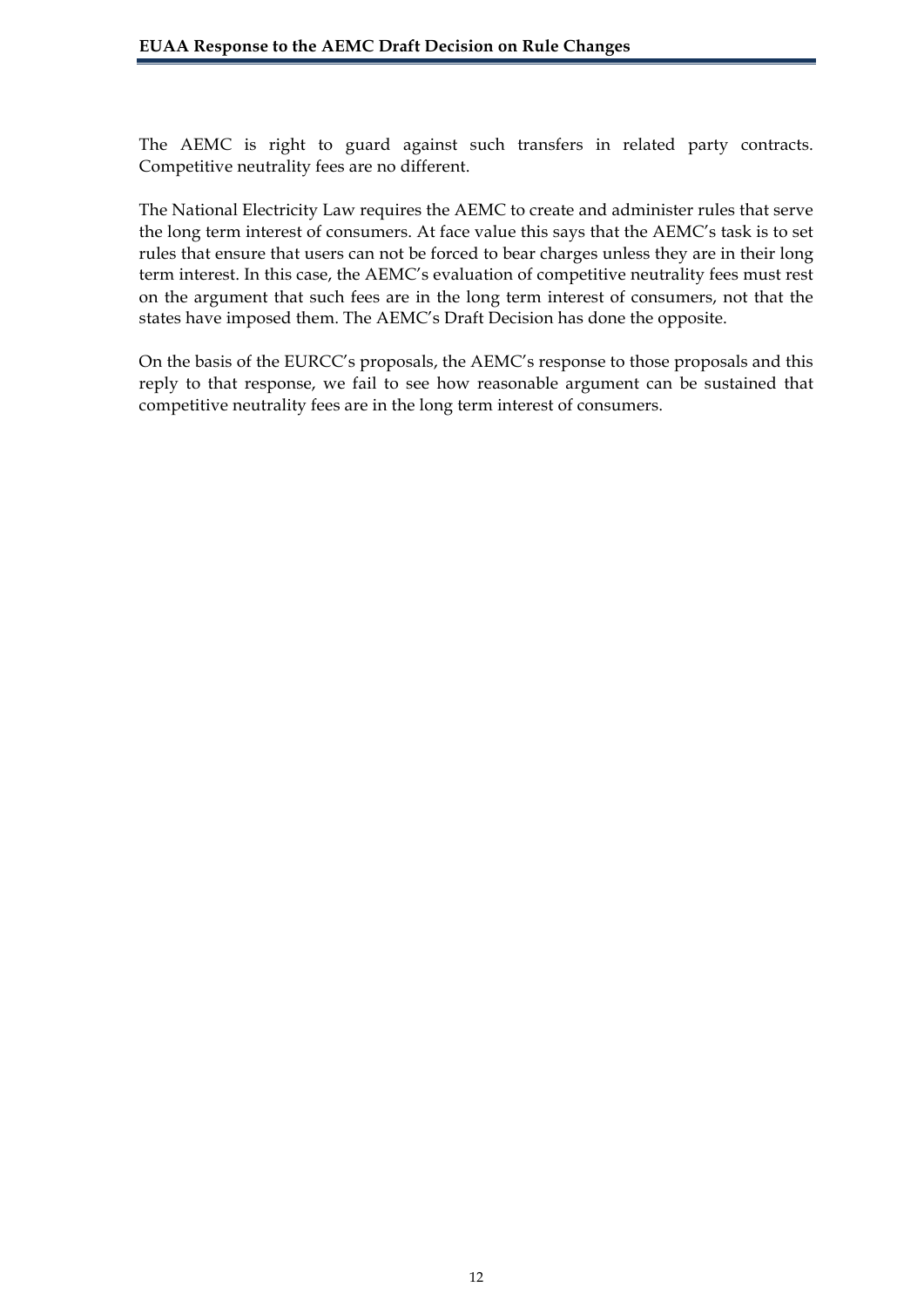The AEMC is right to guard against such transfers in related party contracts. Competitive neutrality fees are no different.

The National Electricity Law requires the AEMC to create and administer rules that serve the long term interest of consumers. At face value this says that the AEMC's task is to set rules that ensure that users can not be forced to bear charges unless they are in their long term interest. In this case, the AEMC's evaluation of competitive neutrality fees must rest on the argument that such fees are in the long term interest of consumers, not that the states have imposed them. The AEMC's Draft Decision has done the opposite.

On the basis of the EURCC's proposals, the AEMC's response to those proposals and this reply to that response, we fail to see how reasonable argument can be sustained that competitive neutrality fees are in the long term interest of consumers.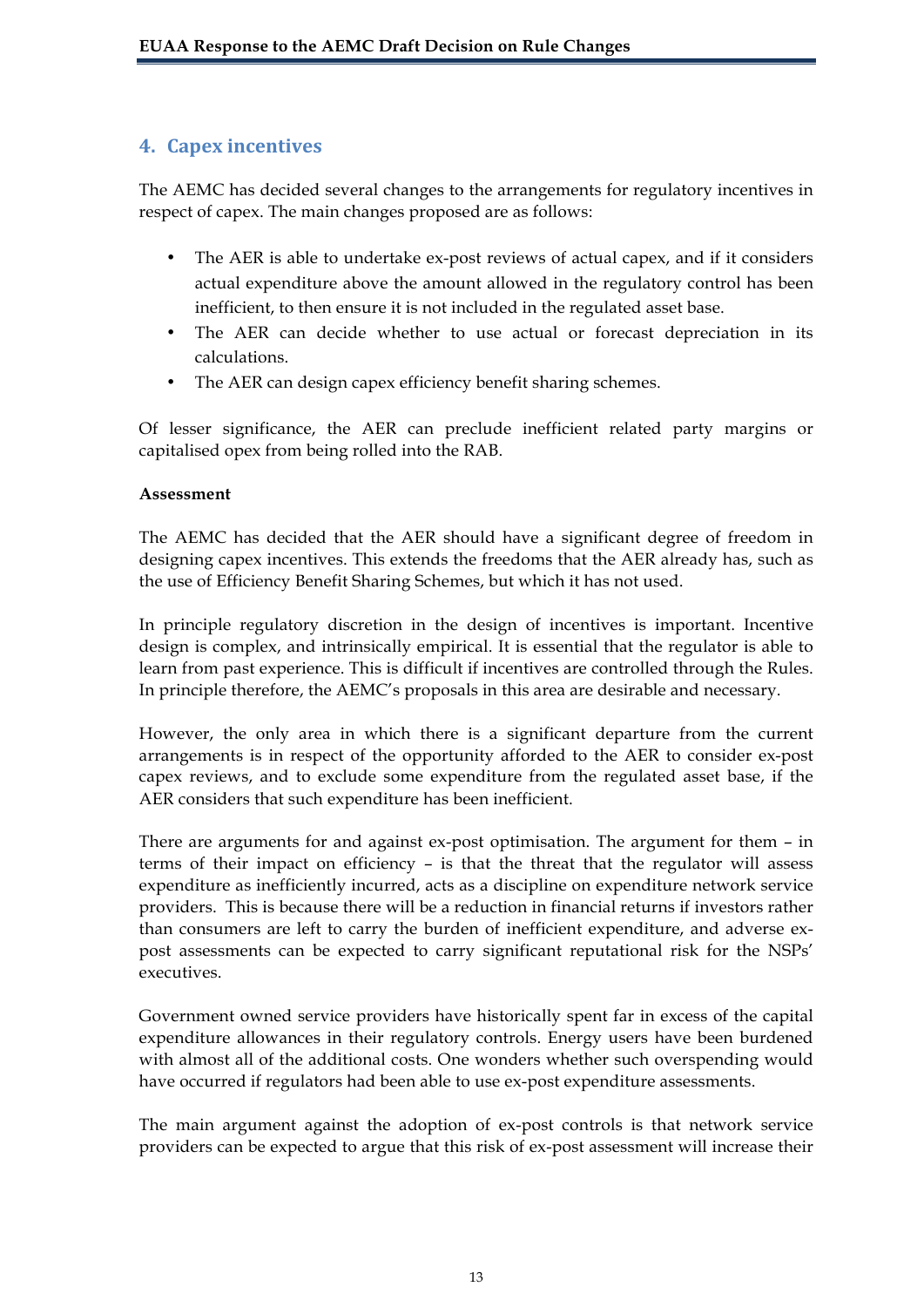## **4.** Capex incentives

The AEMC has decided several changes to the arrangements for regulatory incentives in respect of capex. The main changes proposed are as follows:

- The AER is able to undertake ex-post reviews of actual capex, and if it considers actual expenditure above the amount allowed in the regulatory control has been inefficient, to then ensure it is not included in the regulated asset base.
- The AER can decide whether to use actual or forecast depreciation in its calculations.
- The AER can design capex efficiency benefit sharing schemes.

Of lesser significance, the AER can preclude inefficient related party margins or capitalised opex from being rolled into the RAB.

### **Assessment**

The AEMC has decided that the AER should have a significant degree of freedom in designing capex incentives. This extends the freedoms that the AER already has, such as the use of Efficiency Benefit Sharing Schemes, but which it has not used.

In principle regulatory discretion in the design of incentives is important. Incentive design is complex, and intrinsically empirical. It is essential that the regulator is able to learn from past experience. This is difficult if incentives are controlled through the Rules. In principle therefore, the AEMC's proposals in this area are desirable and necessary.

However, the only area in which there is a significant departure from the current arrangements is in respect of the opportunity afforded to the AER to consider ex-post capex reviews, and to exclude some expenditure from the regulated asset base, if the AER considers that such expenditure has been inefficient.

There are arguments for and against ex-post optimisation. The argument for them – in terms of their impact on efficiency – is that the threat that the regulator will assess expenditure as inefficiently incurred, acts as a discipline on expenditure network service providers. This is because there will be a reduction in financial returns if investors rather than consumers are left to carry the burden of inefficient expenditure, and adverse expost assessments can be expected to carry significant reputational risk for the NSPs' executives.

Government owned service providers have historically spent far in excess of the capital expenditure allowances in their regulatory controls. Energy users have been burdened with almost all of the additional costs. One wonders whether such overspending would have occurred if regulators had been able to use ex-post expenditure assessments.

The main argument against the adoption of ex-post controls is that network service providers can be expected to argue that this risk of ex-post assessment will increase their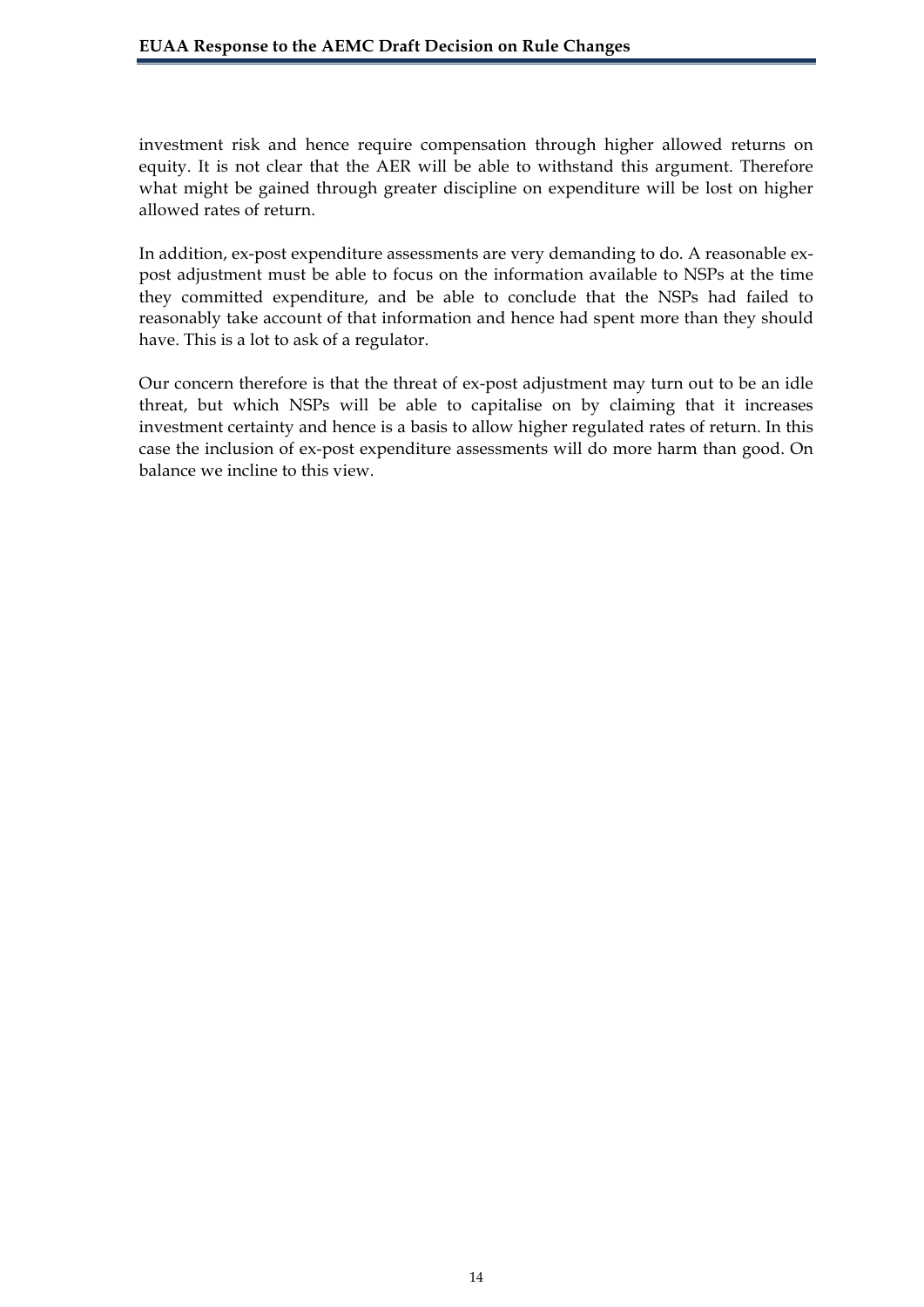investment risk and hence require compensation through higher allowed returns on equity. It is not clear that the AER will be able to withstand this argument. Therefore what might be gained through greater discipline on expenditure will be lost on higher allowed rates of return.

In addition, ex-post expenditure assessments are very demanding to do. A reasonable expost adjustment must be able to focus on the information available to NSPs at the time they committed expenditure, and be able to conclude that the NSPs had failed to reasonably take account of that information and hence had spent more than they should have. This is a lot to ask of a regulator.

Our concern therefore is that the threat of ex-post adjustment may turn out to be an idle threat, but which NSPs will be able to capitalise on by claiming that it increases investment certainty and hence is a basis to allow higher regulated rates of return. In this case the inclusion of ex-post expenditure assessments will do more harm than good. On balance we incline to this view.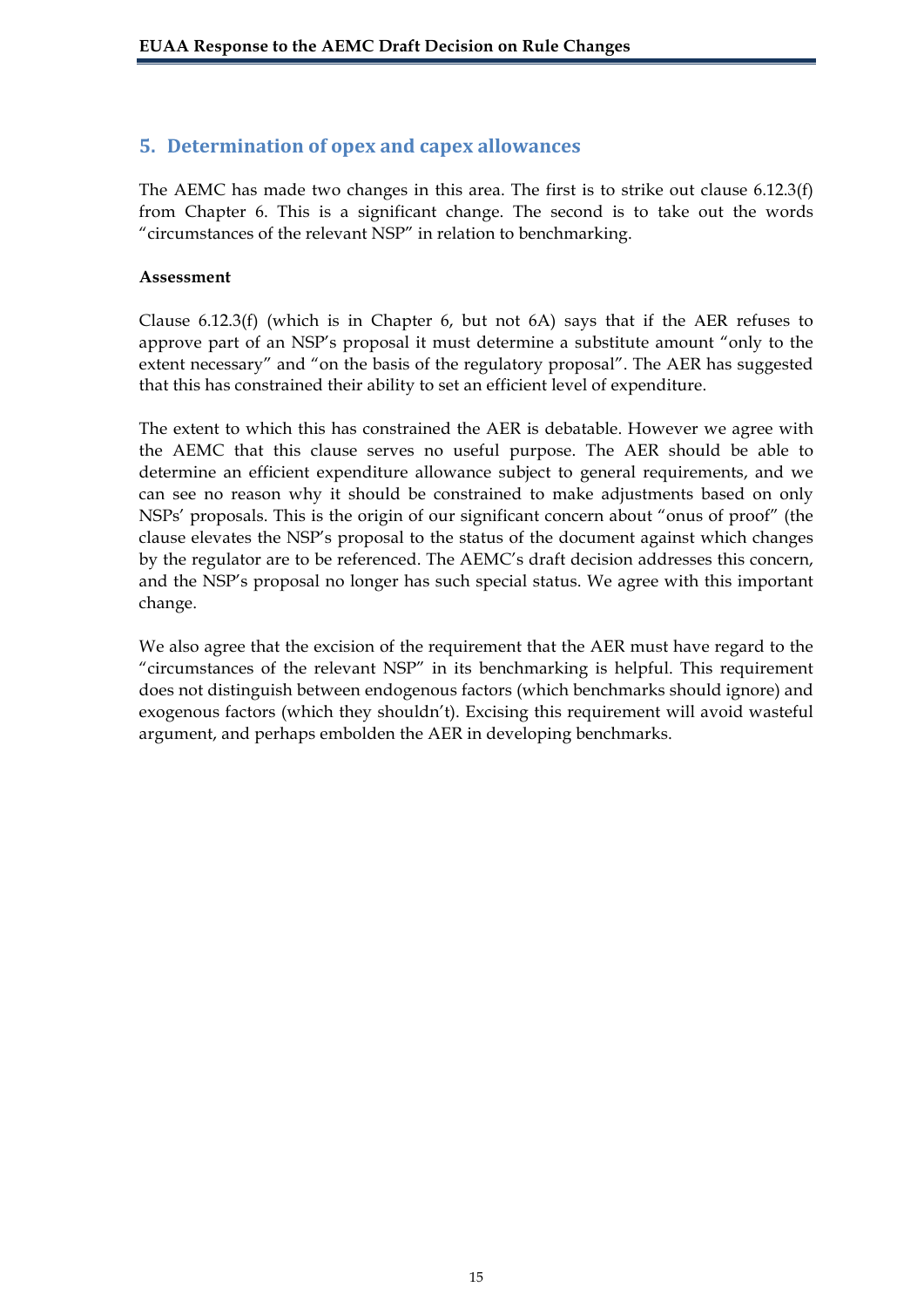## **5. Determination,of,opex,and,capex,allowances**

The AEMC has made two changes in this area. The first is to strike out clause 6.12.3(f) from Chapter 6. This is a significant change. The second is to take out the words "circumstances of the relevant NSP" in relation to benchmarking.

#### **Assessment**

Clause  $6.12.3(f)$  (which is in Chapter 6, but not 6A) says that if the AER refuses to approve part of an NSP's proposal it must determine a substitute amount "only to the extent necessary" and "on the basis of the regulatory proposal". The AER has suggested that this has constrained their ability to set an efficient level of expenditure.

The extent to which this has constrained the AER is debatable. However we agree with the AEMC that this clause serves no useful purpose. The AER should be able to determine an efficient expenditure allowance subject to general requirements, and we can see no reason why it should be constrained to make adjustments based on only NSPs' proposals. This is the origin of our significant concern about "onus of proof" (the clause elevates the NSP's proposal to the status of the document against which changes by the regulator are to be referenced. The AEMC's draft decision addresses this concern, and the NSP's proposal no longer has such special status. We agree with this important change.

We also agree that the excision of the requirement that the AER must have regard to the "circumstances of the relevant NSP" in its benchmarking is helpful. This requirement does not distinguish between endogenous factors (which benchmarks should ignore) and exogenous factors (which they shouldn't). Excising this requirement will avoid wasteful argument, and perhaps embolden the AER in developing benchmarks.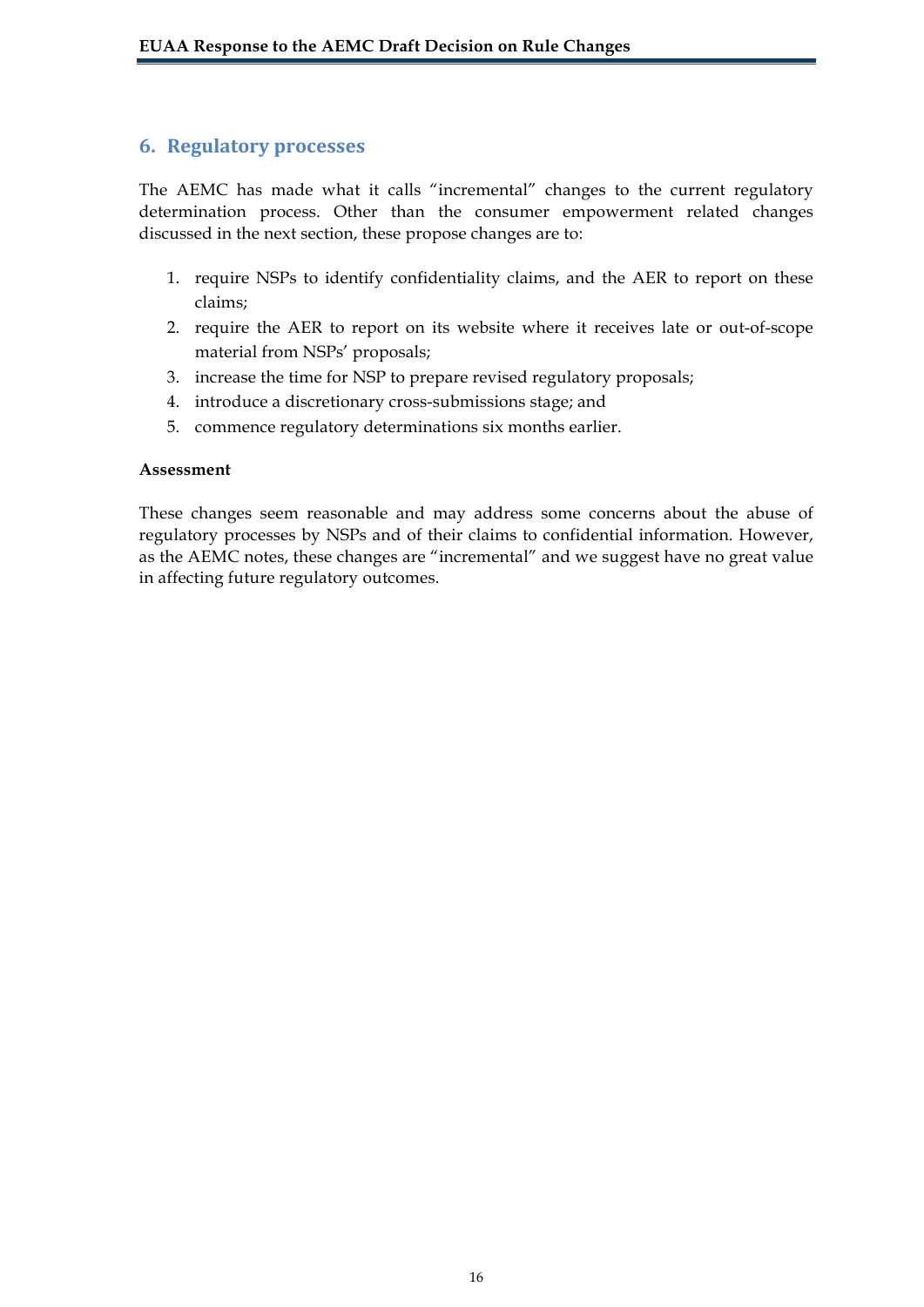## **6. Regulatory,processes**

The AEMC has made what it calls "incremental" changes to the current regulatory determination process. Other than the consumer empowerment related changes discussed in the next section, these propose changes are to:

- 1. require NSPs to identify confidentiality claims, and the AER to report on these claims;
- 2. require the AER to report on its website where it receives late or out-of-scope material from NSPs' proposals;
- 3. increase the time for NSP to prepare revised regulatory proposals;
- 4. introduce a discretionary cross-submissions stage; and
- 5. commence regulatory determinations six months earlier.

#### **Assessment**

These changes seem reasonable and may address some concerns about the abuse of regulatory processes by NSPs and of their claims to confidential information. However, as the AEMC notes, these changes are "incremental" and we suggest have no great value in affecting future regulatory outcomes.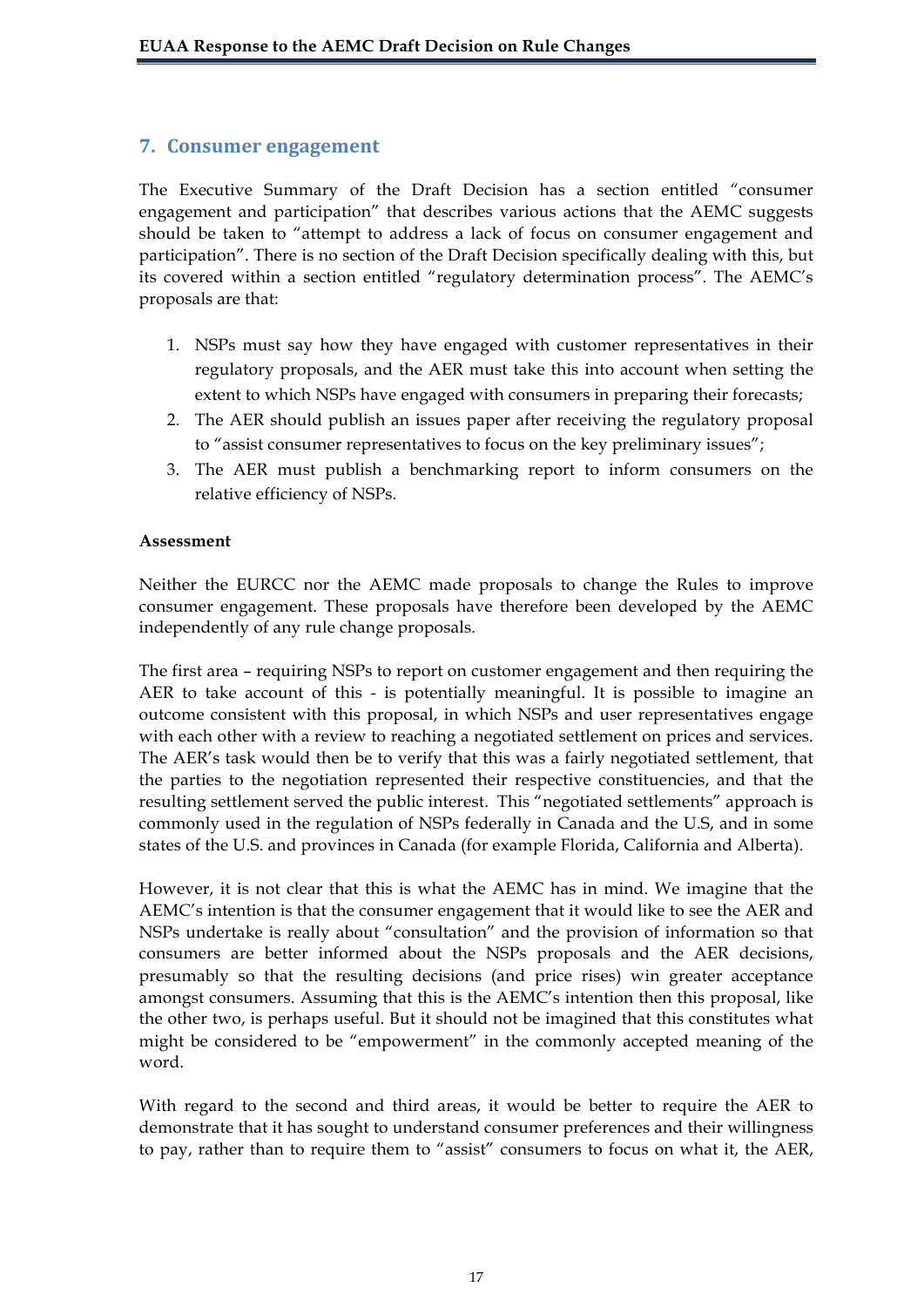## **7. Consumer engagement**

The Executive Summary of the Draft Decision has a section entitled "consumer engagement and participation" that describes various actions that the AEMC suggests should be taken to "attempt to address a lack of focus on consumer engagement and participation". There is no section of the Draft Decision specifically dealing with this, but its covered within a section entitled "regulatory determination process". The AEMC's proposals are that:

- 1. NSPs must say how they have engaged with customer representatives in their regulatory proposals, and the AER must take this into account when setting the extent to which NSPs have engaged with consumers in preparing their forecasts;
- 2. The AER should publish an issues paper after receiving the regulatory proposal to "assist consumer representatives to focus on the key preliminary issues";
- 3. The AER must publish a benchmarking report to inform consumers on the relative efficiency of NSPs.

### **Assessment**

Neither the EURCC nor the AEMC made proposals to change the Rules to improve consumer engagement. These proposals have therefore been developed by the AEMC independently of any rule change proposals.

The first area – requiring NSPs to report on customer engagement and then requiring the AER to take account of this - is potentially meaningful. It is possible to imagine an outcome consistent with this proposal, in which NSPs and user representatives engage with each other with a review to reaching a negotiated settlement on prices and services. The AER's task would then be to verify that this was a fairly negotiated settlement, that the parties to the negotiation represented their respective constituencies, and that the resulting settlement served the public interest. This "negotiated settlements" approach is commonly used in the regulation of NSPs federally in Canada and the U.S, and in some states of the U.S. and provinces in Canada (for example Florida, California and Alberta).

However, it is not clear that this is what the AEMC has in mind. We imagine that the AEMC's intention is that the consumer engagement that it would like to see the AER and NSPs undertake is really about "consultation" and the provision of information so that consumers are better informed about the NSPs proposals and the AER decisions, presumably so that the resulting decisions (and price rises) win greater acceptance amongst consumers. Assuming that this is the AEMC's intention then this proposal, like the other two, is perhaps useful. But it should not be imagined that this constitutes what might be considered to be "empowerment" in the commonly accepted meaning of the word.

With regard to the second and third areas, it would be better to require the AER to demonstrate that it has sought to understand consumer preferences and their willingness to pay, rather than to require them to "assist" consumers to focus on what it, the AER,